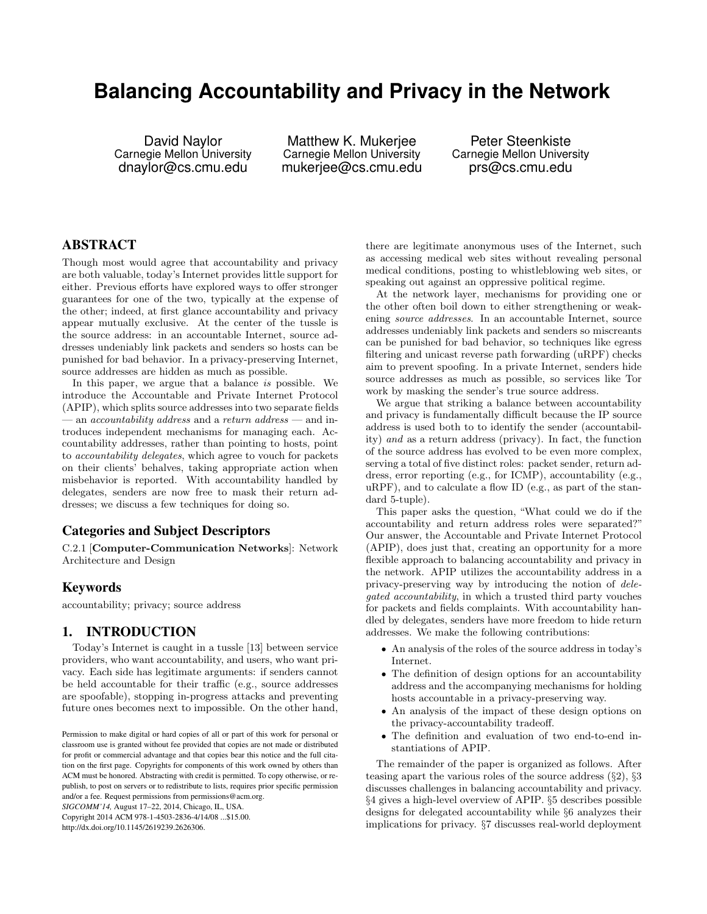# **Balancing Accountability and Privacy in the Network**

David Naylor Carnegie Mellon University dnaylor@cs.cmu.edu

Matthew K. Mukerjee Carnegie Mellon University mukerjee@cs.cmu.edu

Peter Steenkiste Carnegie Mellon University prs@cs.cmu.edu

# ABSTRACT

Though most would agree that accountability and privacy are both valuable, today's Internet provides little support for either. Previous efforts have explored ways to offer stronger guarantees for one of the two, typically at the expense of the other; indeed, at first glance accountability and privacy appear mutually exclusive. At the center of the tussle is the source address: in an accountable Internet, source addresses undeniably link packets and senders so hosts can be punished for bad behavior. In a privacy-preserving Internet, source addresses are hidden as much as possible.

In this paper, we argue that a balance is possible. We introduce the Accountable and Private Internet Protocol (APIP), which splits source addresses into two separate fields an *accountability address* and a return  $address$  — and introduces independent mechanisms for managing each. Accountability addresses, rather than pointing to hosts, point to accountability delegates, which agree to vouch for packets on their clients' behalves, taking appropriate action when misbehavior is reported. With accountability handled by delegates, senders are now free to mask their return addresses; we discuss a few techniques for doing so.

## Categories and Subject Descriptors

C.2.1 [Computer-Communication Networks]: Network Architecture and Design

## Keywords

accountability; privacy; source address

## 1. INTRODUCTION

Today's Internet is caught in a tussle [13] between service providers, who want accountability, and users, who want privacy. Each side has legitimate arguments: if senders cannot be held accountable for their traffic (e.g., source addresses are spoofable), stopping in-progress attacks and preventing future ones becomes next to impossible. On the other hand,

*SIGCOMM'14,* August 17–22, 2014, Chicago, IL, USA. Copyright 2014 ACM 978-1-4503-2836-4/14/08 ...\$15.00.

http://dx.doi.org/10.1145/2619239.2626306.

there are legitimate anonymous uses of the Internet, such as accessing medical web sites without revealing personal medical conditions, posting to whistleblowing web sites, or speaking out against an oppressive political regime.

At the network layer, mechanisms for providing one or the other often boil down to either strengthening or weakening source addresses. In an accountable Internet, source addresses undeniably link packets and senders so miscreants can be punished for bad behavior, so techniques like egress filtering and unicast reverse path forwarding (uRPF) checks aim to prevent spoofing. In a private Internet, senders hide source addresses as much as possible, so services like Tor work by masking the sender's true source address.

We argue that striking a balance between accountability and privacy is fundamentally difficult because the IP source address is used both to to identify the sender (accountability) and as a return address (privacy). In fact, the function of the source address has evolved to be even more complex, serving a total of five distinct roles: packet sender, return address, error reporting (e.g., for ICMP), accountability (e.g., uRPF), and to calculate a flow ID (e.g., as part of the standard 5-tuple).

This paper asks the question, "What could we do if the accountability and return address roles were separated?" Our answer, the Accountable and Private Internet Protocol (APIP), does just that, creating an opportunity for a more flexible approach to balancing accountability and privacy in the network. APIP utilizes the accountability address in a privacy-preserving way by introducing the notion of delegated accountability, in which a trusted third party vouches for packets and fields complaints. With accountability handled by delegates, senders have more freedom to hide return addresses. We make the following contributions:

- ' An analysis of the roles of the source address in today's Internet.
- ' The definition of design options for an accountability address and the accompanying mechanisms for holding hosts accountable in a privacy-preserving way.
- ' An analysis of the impact of these design options on the privacy-accountability tradeoff.
- ' The definition and evaluation of two end-to-end instantiations of APIP.

The remainder of the paper is organized as follows. After teasing apart the various roles of the source address  $(\S2)$ ,  $\S3$ discusses challenges in balancing accountability and privacy. §4 gives a high-level overview of APIP. §5 describes possible designs for delegated accountability while §6 analyzes their implications for privacy. §7 discusses real-world deployment

Permission to make digital or hard copies of all or part of this work for personal or classroom use is granted without fee provided that copies are not made or distributed for profit or commercial advantage and that copies bear this notice and the full citation on the first page. Copyrights for components of this work owned by others than ACM must be honored. Abstracting with credit is permitted. To copy otherwise, or republish, to post on servers or to redistribute to lists, requires prior specific permission and/or a fee. Request permissions from permissions@acm.org.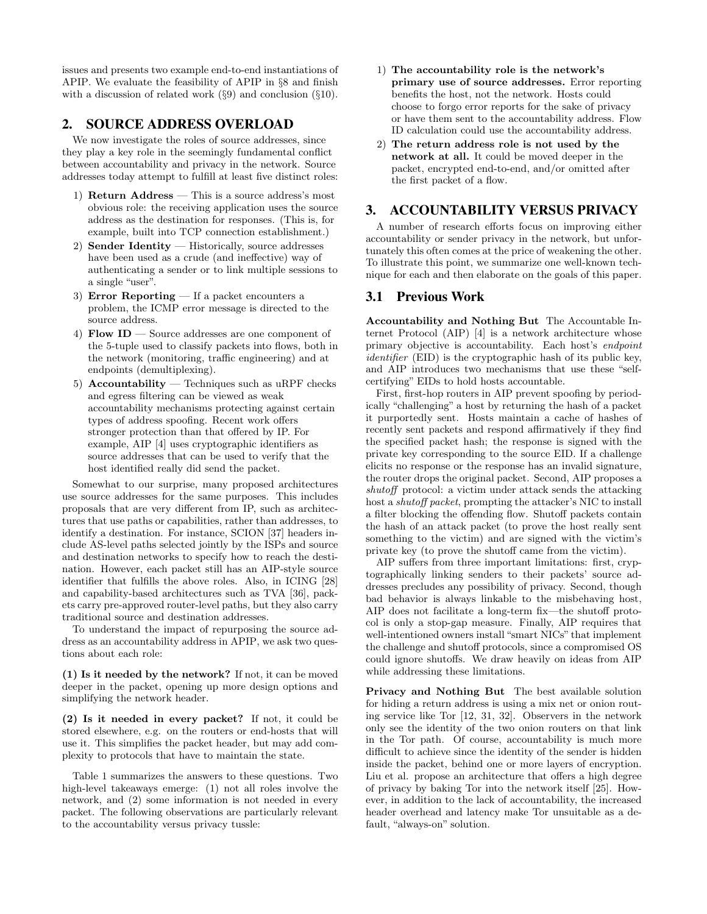issues and presents two example end-to-end instantiations of APIP. We evaluate the feasibility of APIP in §8 and finish with a discussion of related work (§9) and conclusion (§10).

# 2. SOURCE ADDRESS OVERLOAD

We now investigate the roles of source addresses, since they play a key role in the seemingly fundamental conflict between accountability and privacy in the network. Source addresses today attempt to fulfill at least five distinct roles:

- 1) Return Address This is a source address's most obvious role: the receiving application uses the source address as the destination for responses. (This is, for example, built into TCP connection establishment.)
- 2) Sender Identity Historically, source addresses have been used as a crude (and ineffective) way of authenticating a sender or to link multiple sessions to a single "user".
- 3) Error Reporting  $-$  If a packet encounters a problem, the ICMP error message is directed to the source address.
- 4) Flow ID Source addresses are one component of the 5-tuple used to classify packets into flows, both in the network (monitoring, traffic engineering) and at endpoints (demultiplexing).
- 5) Accountability Techniques such as uRPF checks and egress filtering can be viewed as weak accountability mechanisms protecting against certain types of address spoofing. Recent work offers stronger protection than that offered by IP. For example, AIP [4] uses cryptographic identifiers as source addresses that can be used to verify that the host identified really did send the packet.

Somewhat to our surprise, many proposed architectures use source addresses for the same purposes. This includes proposals that are very different from IP, such as architectures that use paths or capabilities, rather than addresses, to identify a destination. For instance, SCION [37] headers include AS-level paths selected jointly by the ISPs and source and destination networks to specify how to reach the destination. However, each packet still has an AIP-style source identifier that fulfills the above roles. Also, in ICING [28] and capability-based architectures such as TVA [36], packets carry pre-approved router-level paths, but they also carry traditional source and destination addresses.

To understand the impact of repurposing the source address as an accountability address in APIP, we ask two questions about each role:

(1) Is it needed by the network? If not, it can be moved deeper in the packet, opening up more design options and simplifying the network header.

(2) Is it needed in every packet? If not, it could be stored elsewhere, e.g. on the routers or end-hosts that will use it. This simplifies the packet header, but may add complexity to protocols that have to maintain the state.

Table 1 summarizes the answers to these questions. Two high-level takeaways emerge: (1) not all roles involve the network, and (2) some information is not needed in every packet. The following observations are particularly relevant to the accountability versus privacy tussle:

- 1) The accountability role is the network's primary use of source addresses. Error reporting benefits the host, not the network. Hosts could choose to forgo error reports for the sake of privacy or have them sent to the accountability address. Flow ID calculation could use the accountability address.
- 2) The return address role is not used by the network at all. It could be moved deeper in the packet, encrypted end-to-end, and/or omitted after the first packet of a flow.

# 3. ACCOUNTABILITY VERSUS PRIVACY

A number of research efforts focus on improving either accountability or sender privacy in the network, but unfortunately this often comes at the price of weakening the other. To illustrate this point, we summarize one well-known technique for each and then elaborate on the goals of this paper.

# 3.1 Previous Work

Accountability and Nothing But The Accountable Internet Protocol (AIP) [4] is a network architecture whose primary objective is accountability. Each host's endpoint identifier (EID) is the cryptographic hash of its public key, and AIP introduces two mechanisms that use these "selfcertifying" EIDs to hold hosts accountable.

First, first-hop routers in AIP prevent spoofing by periodically "challenging" a host by returning the hash of a packet it purportedly sent. Hosts maintain a cache of hashes of recently sent packets and respond affirmatively if they find the specified packet hash; the response is signed with the private key corresponding to the source EID. If a challenge elicits no response or the response has an invalid signature, the router drops the original packet. Second, AIP proposes a shutoff protocol: a victim under attack sends the attacking host a shutoff packet, prompting the attacker's NIC to install a filter blocking the offending flow. Shutoff packets contain the hash of an attack packet (to prove the host really sent something to the victim) and are signed with the victim's private key (to prove the shutoff came from the victim).

AIP suffers from three important limitations: first, cryptographically linking senders to their packets' source addresses precludes any possibility of privacy. Second, though bad behavior is always linkable to the misbehaving host, AIP does not facilitate a long-term fix—the shutoff protocol is only a stop-gap measure. Finally, AIP requires that well-intentioned owners install "smart NICs" that implement the challenge and shutoff protocols, since a compromised OS could ignore shutoffs. We draw heavily on ideas from AIP while addressing these limitations.

Privacy and Nothing But The best available solution for hiding a return address is using a mix net or onion routing service like Tor [12, 31, 32]. Observers in the network only see the identity of the two onion routers on that link in the Tor path. Of course, accountability is much more difficult to achieve since the identity of the sender is hidden inside the packet, behind one or more layers of encryption. Liu et al. propose an architecture that offers a high degree of privacy by baking Tor into the network itself [25]. However, in addition to the lack of accountability, the increased header overhead and latency make Tor unsuitable as a default, "always-on" solution.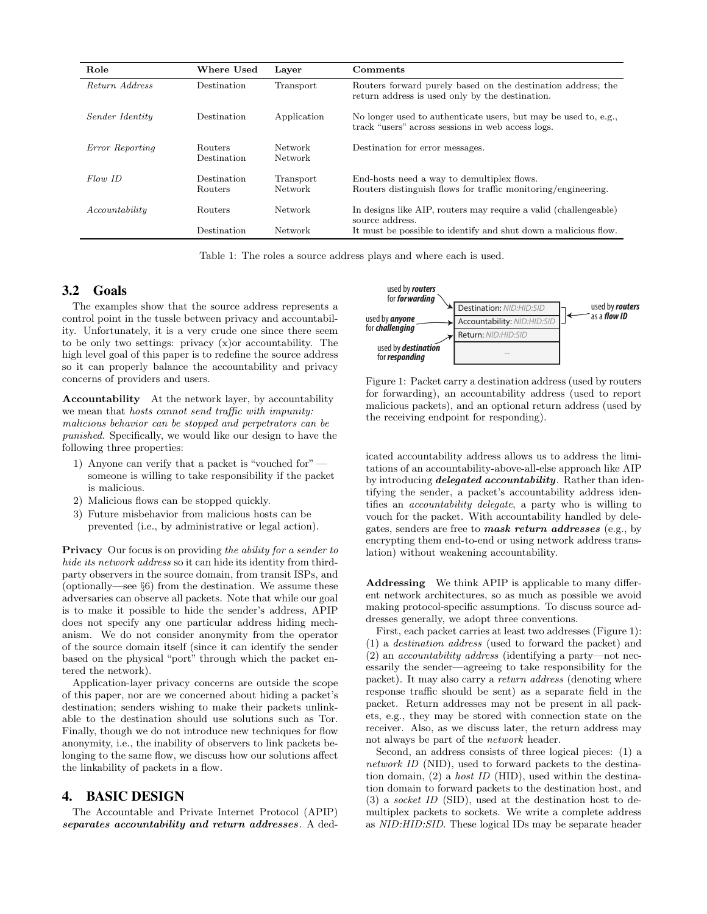| Role            | Where Used                    | Layer                       | Comments                                                                                                             |
|-----------------|-------------------------------|-----------------------------|----------------------------------------------------------------------------------------------------------------------|
| Return Address  | Destination                   | Transport                   | Routers forward purely based on the destination address; the<br>return address is used only by the destination.      |
| Sender Identity | Destination                   | Application                 | No longer used to authenticate users, but may be used to, e.g.,<br>track "users" across sessions in web access logs. |
| Error Reporting | Routers<br>Destination        | <b>Network</b><br>Network   | Destination for error messages.                                                                                      |
| Flow ID         | Destination<br><b>Routers</b> | Transport<br><b>Network</b> | End-hosts need a way to demultiplex flows.<br>Routers distinguish flows for traffic monitoring/engineering.          |
| Accountability  | <b>Routers</b>                | Network                     | In designs like AIP, routers may require a valid (challengeable)<br>source address.                                  |
|                 | Destination                   | Network                     | It must be possible to identify and shut down a malicious flow.                                                      |

Table 1: The roles a source address plays and where each is used.

## 3.2 Goals

The examples show that the source address represents a control point in the tussle between privacy and accountability. Unfortunately, it is a very crude one since there seem to be only two settings: privacy (x)or accountability. The high level goal of this paper is to redefine the source address so it can properly balance the accountability and privacy concerns of providers and users.

Accountability At the network layer, by accountability we mean that hosts cannot send traffic with impunity: malicious behavior can be stopped and perpetrators can be punished. Specifically, we would like our design to have the following three properties:

- 1) Anyone can verify that a packet is "vouched for" someone is willing to take responsibility if the packet is malicious.
- 2) Malicious flows can be stopped quickly.
- 3) Future misbehavior from malicious hosts can be prevented (i.e., by administrative or legal action).

Privacy Our focus is on providing the ability for a sender to hide its network address so it can hide its identity from thirdparty observers in the source domain, from transit ISPs, and (optionally—see §6) from the destination. We assume these adversaries can observe all packets. Note that while our goal is to make it possible to hide the sender's address, APIP does not specify any one particular address hiding mechanism. We do not consider anonymity from the operator of the source domain itself (since it can identify the sender based on the physical "port" through which the packet entered the network).

Application-layer privacy concerns are outside the scope of this paper, nor are we concerned about hiding a packet's destination; senders wishing to make their packets unlinkable to the destination should use solutions such as Tor. Finally, though we do not introduce new techniques for flow anonymity, i.e., the inability of observers to link packets belonging to the same flow, we discuss how our solutions affect the linkability of packets in a flow.

## 4. BASIC DESIGN

The Accountable and Private Internet Protocol (APIP) separates accountability and return addresses. A ded-



Figure 1: Packet carry a destination address (used by routers for forwarding), an accountability address (used to report malicious packets), and an optional return address (used by the receiving endpoint for responding).

icated accountability address allows us to address the limitations of an accountability-above-all-else approach like AIP by introducing *delegated accountability*. Rather than identifying the sender, a packet's accountability address identifies an accountability delegate, a party who is willing to vouch for the packet. With accountability handled by delegates, senders are free to mask return addresses (e.g., by encrypting them end-to-end or using network address translation) without weakening accountability.

Addressing We think APIP is applicable to many different network architectures, so as much as possible we avoid making protocol-specific assumptions. To discuss source addresses generally, we adopt three conventions.

First, each packet carries at least two addresses (Figure 1): (1) a destination address (used to forward the packet) and (2) an accountability address (identifying a party—not necessarily the sender—agreeing to take responsibility for the packet). It may also carry a return address (denoting where response traffic should be sent) as a separate field in the packet. Return addresses may not be present in all packets, e.g., they may be stored with connection state on the receiver. Also, as we discuss later, the return address may not always be part of the network header.

Second, an address consists of three logical pieces: (1) a network ID (NID), used to forward packets to the destination domain, (2) a host ID (HID), used within the destination domain to forward packets to the destination host, and (3) a socket ID (SID), used at the destination host to demultiplex packets to sockets. We write a complete address as NID:HID:SID. These logical IDs may be separate header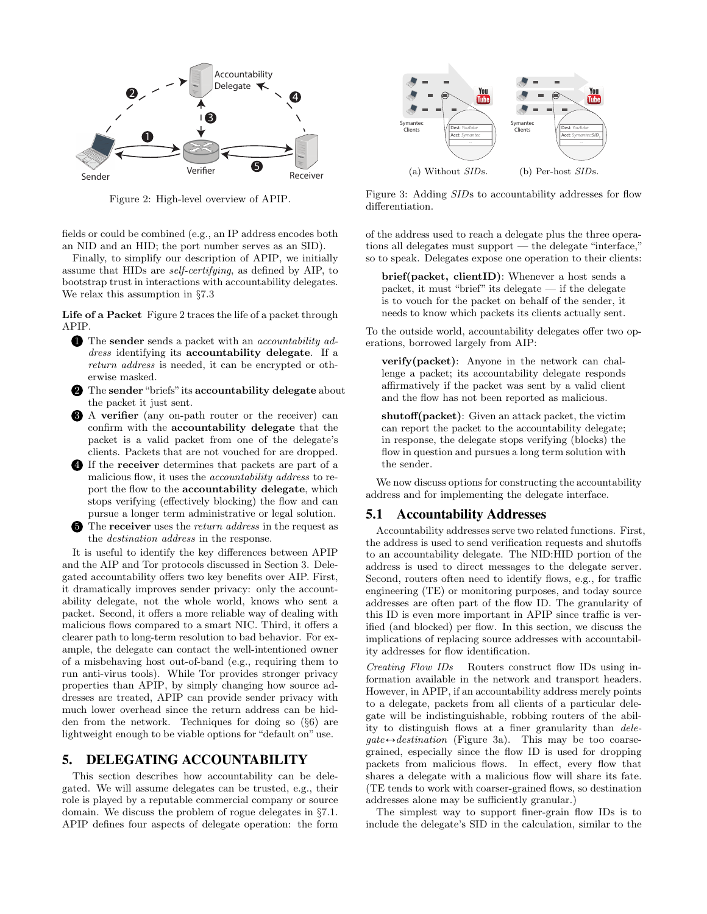

Figure 2: High-level overview of APIP.

fields or could be combined (e.g., an IP address encodes both an NID and an HID; the port number serves as an SID).

Finally, to simplify our description of APIP, we initially assume that HIDs are self-certifying, as defined by AIP, to bootstrap trust in interactions with accountability delegates. We relax this assumption in §7.3

Life of a Packet Figure 2 traces the life of a packet through APIP.

- **1** The sender sends a packet with an *accountability ad*dress identifying its accountability delegate. If a return address is needed, it can be encrypted or otherwise masked.
- 2 The sender"briefs"its accountability delegate about the packet it just sent.
- 3 A verifier (any on-path router or the receiver) can confirm with the accountability delegate that the packet is a valid packet from one of the delegate's clients. Packets that are not vouched for are dropped.
- 4 If the receiver determines that packets are part of a malicious flow, it uses the accountability address to report the flow to the accountability delegate, which stops verifying (effectively blocking) the flow and can pursue a longer term administrative or legal solution.



It is useful to identify the key differences between APIP and the AIP and Tor protocols discussed in Section 3. Delegated accountability offers two key benefits over AIP. First, it dramatically improves sender privacy: only the accountability delegate, not the whole world, knows who sent a packet. Second, it offers a more reliable way of dealing with malicious flows compared to a smart NIC. Third, it offers a clearer path to long-term resolution to bad behavior. For example, the delegate can contact the well-intentioned owner of a misbehaving host out-of-band (e.g., requiring them to run anti-virus tools). While Tor provides stronger privacy properties than APIP, by simply changing how source addresses are treated, APIP can provide sender privacy with much lower overhead since the return address can be hidden from the network. Techniques for doing so (§6) are lightweight enough to be viable options for "default on" use. Figure 2: High-level correlation and the control of the section of the following in the form of the form of the form of the four and the control of the section of the section of the section of the section of the section o

# 5. DELEGATING ACCOUNTABILITY

This section describes how accountability can be delegated. We will assume delegates can be trusted, e.g., their role is played by a reputable commercial company or source domain. We discuss the problem of rogue delegates in §7.1.



Figure 3: Adding SIDs to accountability addresses for flow differentiation.

of the address used to reach a delegate plus the three operations all delegates must support — the delegate "interface," so to speak. Delegates expose one operation to their clients:

brief(packet, clientID): Whenever a host sends a packet, it must "brief" its delegate — if the delegate is to vouch for the packet on behalf of the sender, it needs to know which packets its clients actually sent.

To the outside world, accountability delegates offer two operations, borrowed largely from AIP:

verify(packet): Anyone in the network can challenge a packet; its accountability delegate responds affirmatively if the packet was sent by a valid client and the flow has not been reported as malicious.

shutoff(packet): Given an attack packet, the victim can report the packet to the accountability delegate; in response, the delegate stops verifying (blocks) the flow in question and pursues a long term solution with the sender.

We now discuss options for constructing the accountability address and for implementing the delegate interface.

## 5.1 Accountability Addresses

Accountability addresses serve two related functions. First, the address is used to send verification requests and shutoffs to an accountability delegate. The NID:HID portion of the address is used to direct messages to the delegate server. Second, routers often need to identify flows, e.g., for traffic engineering (TE) or monitoring purposes, and today source addresses are often part of the flow ID. The granularity of this ID is even more important in APIP since traffic is verified (and blocked) per flow. In this section, we discuss the implications of replacing source addresses with accountability addresses for flow identification.

Creating Flow IDs Routers construct flow IDs using information available in the network and transport headers. However, in APIP, if an accountability address merely points to a delegate, packets from all clients of a particular delegate will be indistinguishable, robbing routers of the ability to distinguish flows at a finer granularity than dele $gate \leftrightarrow destination$  (Figure 3a). This may be too coarsegrained, especially since the flow ID is used for dropping packets from malicious flows. In effect, every flow that shares a delegate with a malicious flow will share its fate. (TE tends to work with coarser-grained flows, so destination addresses alone may be sufficiently granular.)

The simplest way to support finer-grain flow IDs is to include the delegate's SID in the calculation, similar to the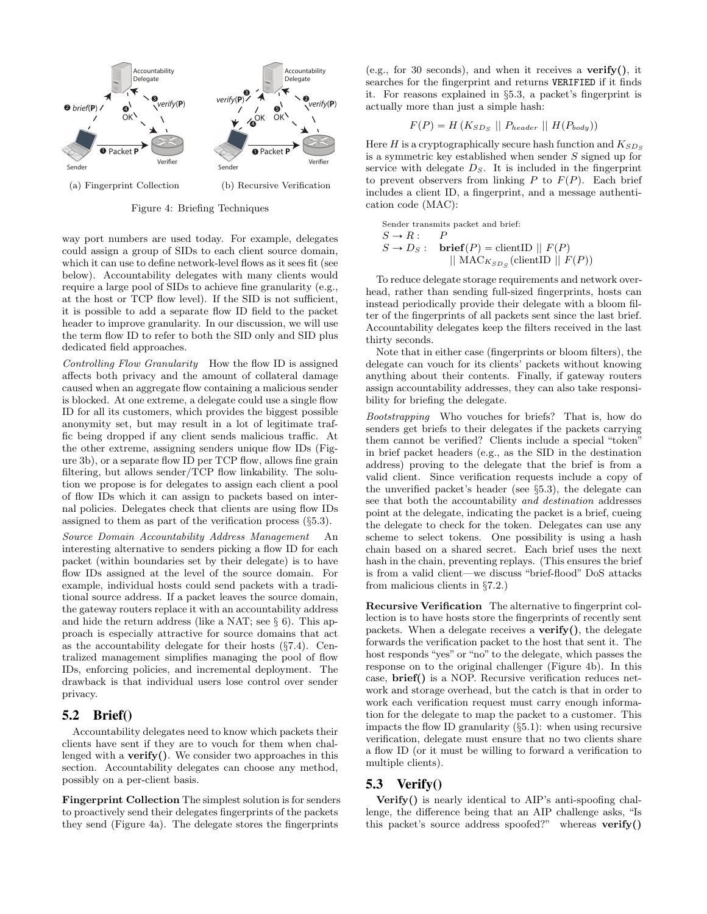

Figure 4: Briefing Techniques

way port numbers are used today. For example, delegates could assign a group of SIDs to each client source domain, which it can use to define network-level flows as it sees fit (see below). Accountability delegates with many clients would require a large pool of SIDs to achieve fine granularity (e.g., at the host or TCP flow level). If the SID is not sufficient, it is possible to add a separate flow ID field to the packet header to improve granularity. In our discussion, we will use the term flow ID to refer to both the SID only and SID plus dedicated field approaches.

Controlling Flow Granularity How the flow ID is assigned affects both privacy and the amount of collateral damage caused when an aggregate flow containing a malicious sender is blocked. At one extreme, a delegate could use a single flow ID for all its customers, which provides the biggest possible anonymity set, but may result in a lot of legitimate traffic being dropped if any client sends malicious traffic. At the other extreme, assigning senders unique flow IDs (Figure 3b), or a separate flow ID per TCP flow, allows fine grain filtering, but allows sender/TCP flow linkability. The solution we propose is for delegates to assign each client a pool of flow IDs which it can assign to packets based on internal policies. Delegates check that clients are using flow IDs assigned to them as part of the verification process  $(\S 5.3)$ .

Source Domain Accountability Address Management An interesting alternative to senders picking a flow ID for each packet (within boundaries set by their delegate) is to have flow IDs assigned at the level of the source domain. For example, individual hosts could send packets with a traditional source address. If a packet leaves the source domain, the gateway routers replace it with an accountability address and hide the return address (like a NAT; see  $\S 6$ ). This approach is especially attractive for source domains that act as the accountability delegate for their hosts (§7.4). Centralized management simplifies managing the pool of flow IDs, enforcing policies, and incremental deployment. The drawback is that individual users lose control over sender privacy.

# 5.2 Brief()

Accountability delegates need to know which packets their clients have sent if they are to vouch for them when challenged with a  $\text{verify}()$ . We consider two approaches in this section. Accountability delegates can choose any method, possibly on a per-client basis.

Fingerprint Collection The simplest solution is for senders to proactively send their delegates fingerprints of the packets they send (Figure 4a). The delegate stores the fingerprints

(e.g., for 30 seconds), and when it receives a  $\text{verify}()$ , it searches for the fingerprint and returns VERIFIED if it finds it. For reasons explained in §5.3, a packet's fingerprint is actually more than just a simple hash:

$$
F(P) = H(K_{SD_S} || P_{header} || H(P_{body}))
$$

Here H is a cryptographically secure hash function and  $K_{SD_S}$ is a symmetric key established when sender S signed up for service with delegate  $D<sub>S</sub>$ . It is included in the fingerprint to prevent observers from linking P to  $F(P)$ . Each brief includes a client ID, a fingerprint, and a message authentication code (MAC):

Sender transmits packet and brief:  
\n
$$
S \to R
$$
: P  
\n $S \to D_S$ : **brief**(P) = clientID || F(P)  
\n|| MAC<sub>KSDS</sub> (clientID || F(P))

To reduce delegate storage requirements and network overhead, rather than sending full-sized fingerprints, hosts can instead periodically provide their delegate with a bloom filter of the fingerprints of all packets sent since the last brief. Accountability delegates keep the filters received in the last thirty seconds.

Note that in either case (fingerprints or bloom filters), the delegate can vouch for its clients' packets without knowing anything about their contents. Finally, if gateway routers assign accountability addresses, they can also take responsibility for briefing the delegate.

Bootstrapping Who vouches for briefs? That is, how do senders get briefs to their delegates if the packets carrying them cannot be verified? Clients include a special "token" in brief packet headers (e.g., as the SID in the destination address) proving to the delegate that the brief is from a valid client. Since verification requests include a copy of the unverified packet's header (see §5.3), the delegate can see that both the accountability and destination addresses point at the delegate, indicating the packet is a brief, cueing the delegate to check for the token. Delegates can use any scheme to select tokens. One possibility is using a hash chain based on a shared secret. Each brief uses the next hash in the chain, preventing replays. (This ensures the brief is from a valid client—we discuss "brief-flood" DoS attacks from malicious clients in §7.2.)

Recursive Verification The alternative to fingerprint collection is to have hosts store the fingerprints of recently sent packets. When a delegate receives a verify(), the delegate forwards the verification packet to the host that sent it. The host responds "yes" or "no" to the delegate, which passes the response on to the original challenger (Figure 4b). In this case, brief() is a NOP. Recursive verification reduces network and storage overhead, but the catch is that in order to work each verification request must carry enough information for the delegate to map the packet to a customer. This impacts the flow ID granularity  $(\S 5.1)$ : when using recursive verification, delegate must ensure that no two clients share a flow ID (or it must be willing to forward a verification to multiple clients).

## 5.3 Verify()

Verify() is nearly identical to AIP's anti-spoofing challenge, the difference being that an AIP challenge asks, "Is this packet's source address spoofed?" whereas verify()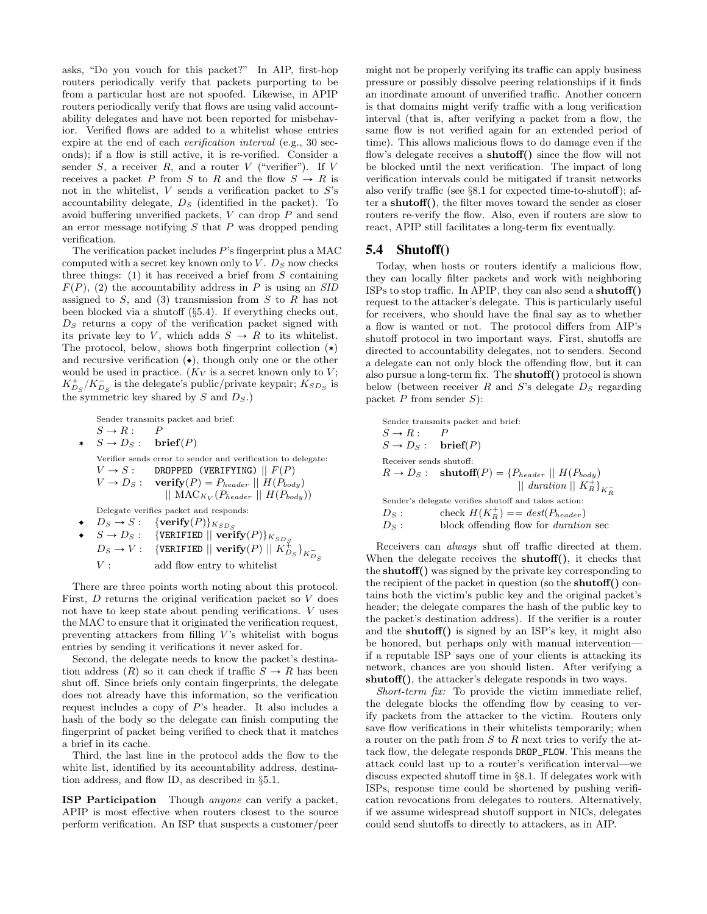asks, "Do you vouch for this packet?" In AIP, first-hop routers periodically verify that packets purporting to be from a particular host are not spoofed. Likewise, in APIP routers periodically verify that flows are using valid accountability delegates and have not been reported for misbehavior. Verified flows are added to a whitelist whose entries expire at the end of each verification interval (e.g., 30 seconds); if a flow is still active, it is re-verified. Consider a sender S, a receiver R, and a router V ("verifier"). If V receives a packet P from S to R and the flow  $S \to R$  is not in the whitelist,  $V$  sends a verification packet to  $S$ 's accountability delegate,  $D<sub>S</sub>$  (identified in the packet). To avoid buffering unverified packets, V can drop P and send an error message notifying  $S$  that  $P$  was dropped pending verification.

The verification packet includes  $P$ 's fingerprint plus a MAC computed with a secret key known only to  $V$ .  $D<sub>S</sub>$  now checks three things:  $(1)$  it has received a brief from  $S$  containing  $F(P)$ , (2) the accountability address in P is using an SID assigned to  $S$ , and (3) transmission from  $S$  to  $R$  has not been blocked via a shutoff (§5.4). If everything checks out,  $D<sub>S</sub>$  returns a copy of the verification packet signed with its private key to V, which adds  $S \to R$  to its whitelist. The protocol, below, shows both fingerprint collection  $(*)$ and recursive verification  $(\bullet)$ , though only one or the other would be used in practice. ( $K_V$  is a secret known only to  $V$ ;  $K_{D_S}^+/K_{D_S}^-$  is the delegate's public/private keypair;  $K_{SD_S}$  is the symmetric key shared by  $S$  and  $D_S$ .)

> Sender transmits packet and brief:  $S \rightarrow R$  :  $P$

- $\star$   $S \to D_S$ : brief(P) Verifier sends error to sender and verification to delegate:  $V \rightarrow S$ : DROPPED (VERIFYING)  $|| F(P)$  $V \to D_S$ : verify $(P) = P_{header} || H(P_{body})$  $\parallel$  MAC<sub>K<sub>V</sub></sub> ( $P_{header} \parallel$  H( $P_{body}$ )) Delegate verifies packet and responds:  $D_S \to S: \quad {\text{verify}(P)}_{K_{SDS}}$
- $\bullet \quad S \to D_S: \quad \{\mathtt{VERIFIED}\; ||\; \mathtt{verify}(P)\}_{K_{SD_S}}$  $D_S \rightarrow V: \quad \{\texttt{VERIFIED} \mid \mid \textbf{verify}(P) \mid \mid K_{D_S}^\mp\}_{K_{D_S}^-}$  $V:$  add flow entry to whitelist

There are three points worth noting about this protocol. First, D returns the original verification packet so V does not have to keep state about pending verifications. V uses the MAC to ensure that it originated the verification request, preventing attackers from filling  $V$ 's whitelist with bogus entries by sending it verifications it never asked for.

Second, the delegate needs to know the packet's destination address  $(R)$  so it can check if traffic  $S \to R$  has been shut off. Since briefs only contain fingerprints, the delegate does not already have this information, so the verification request includes a copy of P's header. It also includes a hash of the body so the delegate can finish computing the fingerprint of packet being verified to check that it matches a brief in its cache.

Third, the last line in the protocol adds the flow to the white list, identified by its accountability address, destination address, and flow ID, as described in §5.1.

ISP Participation Though anyone can verify a packet, APIP is most effective when routers closest to the source perform verification. An ISP that suspects a customer/peer might not be properly verifying its traffic can apply business pressure or possibly dissolve peering relationships if it finds an inordinate amount of unverified traffic. Another concern is that domains might verify traffic with a long verification interval (that is, after verifying a packet from a flow, the same flow is not verified again for an extended period of time). This allows malicious flows to do damage even if the flow's delegate receives a **shutoff**() since the flow will not be blocked until the next verification. The impact of long verification intervals could be mitigated if transit networks also verify traffic (see §8.1 for expected time-to-shutoff); after a shutoff(), the filter moves toward the sender as closer routers re-verify the flow. Also, even if routers are slow to react, APIP still facilitates a long-term fix eventually.

# 5.4 Shutoff()

Today, when hosts or routers identify a malicious flow, they can locally filter packets and work with neighboring ISPs to stop traffic. In APIP, they can also send a shutoff() request to the attacker's delegate. This is particularly useful for receivers, who should have the final say as to whether a flow is wanted or not. The protocol differs from AIP's shutoff protocol in two important ways. First, shutoffs are directed to accountability delegates, not to senders. Second a delegate can not only block the offending flow, but it can also pursue a long-term fix. The shutoff() protocol is shown below (between receiver R and  $S$ 's delegate  $D<sub>S</sub>$  regarding packet  $P$  from sender  $S$ ):

Sender transmits packet and brief:  $S \rightarrow R$ :  $P$  $S \to D_S$ : brief(P) Receiver sends shutoff:  $R \rightarrow D_S$  : shutoff $(P) = \{P_{header} \mid H(P_{body})\}$  $\parallel$  duration  $\parallel$   $K_R^+$   $\parallel$ Sender's delegate verifies shutoff and takes action:  $D_S$ : check  $H(K_R^+) = \text{dest}(P_{\text{header}})$  $D_S$ : block offending flow for *duration* sec

Receivers can always shut off traffic directed at them. When the delegate receives the **shutoff** $($ ), it checks that the shutoff() was signed by the private key corresponding to the recipient of the packet in question (so the shutoff() contains both the victim's public key and the original packet's header; the delegate compares the hash of the public key to the packet's destination address). If the verifier is a router and the shutoff() is signed by an ISP's key, it might also be honored, but perhaps only with manual intervention if a reputable ISP says one of your clients is attacking its network, chances are you should listen. After verifying a shutoff(), the attacker's delegate responds in two ways.

Short-term fix: To provide the victim immediate relief, the delegate blocks the offending flow by ceasing to verify packets from the attacker to the victim. Routers only save flow verifications in their whitelists temporarily; when a router on the path from  $S$  to  $R$  next tries to verify the attack flow, the delegate responds DROP\_FLOW. This means the attack could last up to a router's verification interval—we discuss expected shutoff time in §8.1. If delegates work with ISPs, response time could be shortened by pushing verification revocations from delegates to routers. Alternatively, if we assume widespread shutoff support in NICs, delegates could send shutoffs to directly to attackers, as in AIP.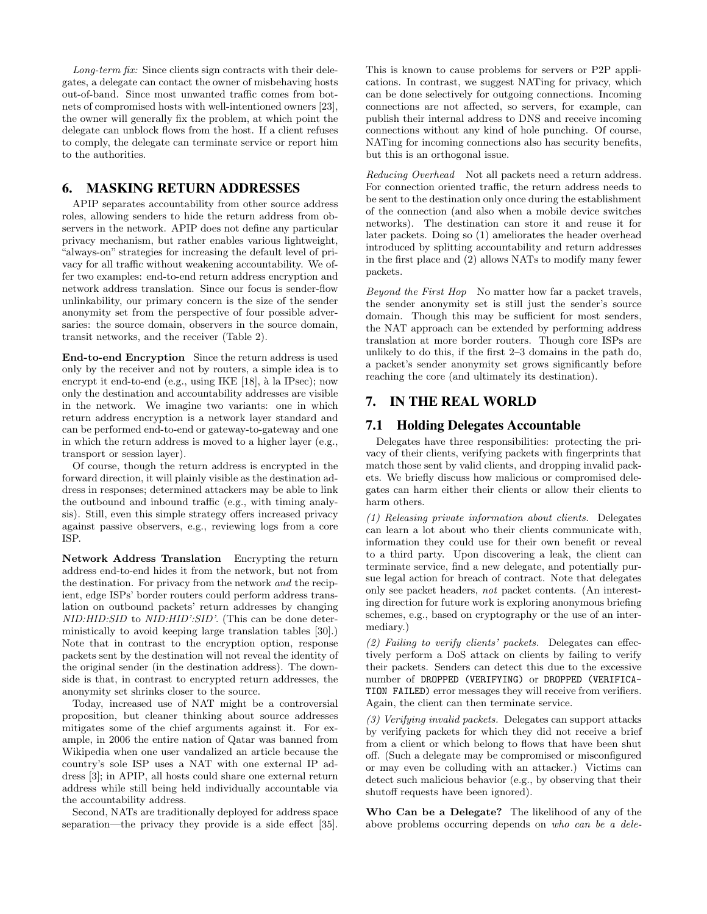Long-term fix: Since clients sign contracts with their delegates, a delegate can contact the owner of misbehaving hosts out-of-band. Since most unwanted traffic comes from botnets of compromised hosts with well-intentioned owners [23], the owner will generally fix the problem, at which point the delegate can unblock flows from the host. If a client refuses to comply, the delegate can terminate service or report him to the authorities.

# 6. MASKING RETURN ADDRESSES

APIP separates accountability from other source address roles, allowing senders to hide the return address from observers in the network. APIP does not define any particular privacy mechanism, but rather enables various lightweight, "always-on" strategies for increasing the default level of privacy for all traffic without weakening accountability. We offer two examples: end-to-end return address encryption and network address translation. Since our focus is sender-flow unlinkability, our primary concern is the size of the sender anonymity set from the perspective of four possible adversaries: the source domain, observers in the source domain, transit networks, and the receiver (Table 2).

End-to-end Encryption Since the return address is used only by the receiver and not by routers, a simple idea is to encrypt it end-to-end (e.g., using IKE [18], à la IPsec); now only the destination and accountability addresses are visible in the network. We imagine two variants: one in which return address encryption is a network layer standard and can be performed end-to-end or gateway-to-gateway and one in which the return address is moved to a higher layer (e.g., transport or session layer).

Of course, though the return address is encrypted in the forward direction, it will plainly visible as the destination address in responses; determined attackers may be able to link the outbound and inbound traffic (e.g., with timing analysis). Still, even this simple strategy offers increased privacy against passive observers, e.g., reviewing logs from a core ISP.

Network Address Translation Encrypting the return address end-to-end hides it from the network, but not from the destination. For privacy from the network and the recipient, edge ISPs' border routers could perform address translation on outbound packets' return addresses by changing NID:HID:SID to NID:HID':SID'. (This can be done deterministically to avoid keeping large translation tables [30].) Note that in contrast to the encryption option, response packets sent by the destination will not reveal the identity of the original sender (in the destination address). The downside is that, in contrast to encrypted return addresses, the anonymity set shrinks closer to the source.

Today, increased use of NAT might be a controversial proposition, but cleaner thinking about source addresses mitigates some of the chief arguments against it. For example, in 2006 the entire nation of Qatar was banned from Wikipedia when one user vandalized an article because the country's sole ISP uses a NAT with one external IP address [3]; in APIP, all hosts could share one external return address while still being held individually accountable via the accountability address.

Second, NATs are traditionally deployed for address space separation—the privacy they provide is a side effect [35].

This is known to cause problems for servers or P2P applications. In contrast, we suggest NATing for privacy, which can be done selectively for outgoing connections. Incoming connections are not affected, so servers, for example, can publish their internal address to DNS and receive incoming connections without any kind of hole punching. Of course, NATing for incoming connections also has security benefits, but this is an orthogonal issue.

Reducing Overhead Not all packets need a return address. For connection oriented traffic, the return address needs to be sent to the destination only once during the establishment of the connection (and also when a mobile device switches networks). The destination can store it and reuse it for later packets. Doing so (1) ameliorates the header overhead introduced by splitting accountability and return addresses in the first place and (2) allows NATs to modify many fewer packets.

Beyond the First Hop No matter how far a packet travels, the sender anonymity set is still just the sender's source domain. Though this may be sufficient for most senders, the NAT approach can be extended by performing address translation at more border routers. Though core ISPs are unlikely to do this, if the first 2–3 domains in the path do, a packet's sender anonymity set grows significantly before reaching the core (and ultimately its destination).

# 7. IN THE REAL WORLD

## 7.1 Holding Delegates Accountable

Delegates have three responsibilities: protecting the privacy of their clients, verifying packets with fingerprints that match those sent by valid clients, and dropping invalid packets. We briefly discuss how malicious or compromised delegates can harm either their clients or allow their clients to harm others.

(1) Releasing private information about clients. Delegates can learn a lot about who their clients communicate with, information they could use for their own benefit or reveal to a third party. Upon discovering a leak, the client can terminate service, find a new delegate, and potentially pursue legal action for breach of contract. Note that delegates only see packet headers, not packet contents. (An interesting direction for future work is exploring anonymous briefing schemes, e.g., based on cryptography or the use of an intermediary.)

 $(2)$  Failing to verify clients' packets. Delegates can effectively perform a DoS attack on clients by failing to verify their packets. Senders can detect this due to the excessive number of DROPPED (VERIFYING) or DROPPED (VERIFICA-TION FAILED) error messages they will receive from verifiers. Again, the client can then terminate service.

(3) Verifying invalid packets. Delegates can support attacks by verifying packets for which they did not receive a brief from a client or which belong to flows that have been shut off. (Such a delegate may be compromised or misconfigured or may even be colluding with an attacker.) Victims can detect such malicious behavior (e.g., by observing that their shutoff requests have been ignored).

Who Can be a Delegate? The likelihood of any of the above problems occurring depends on who can be a dele-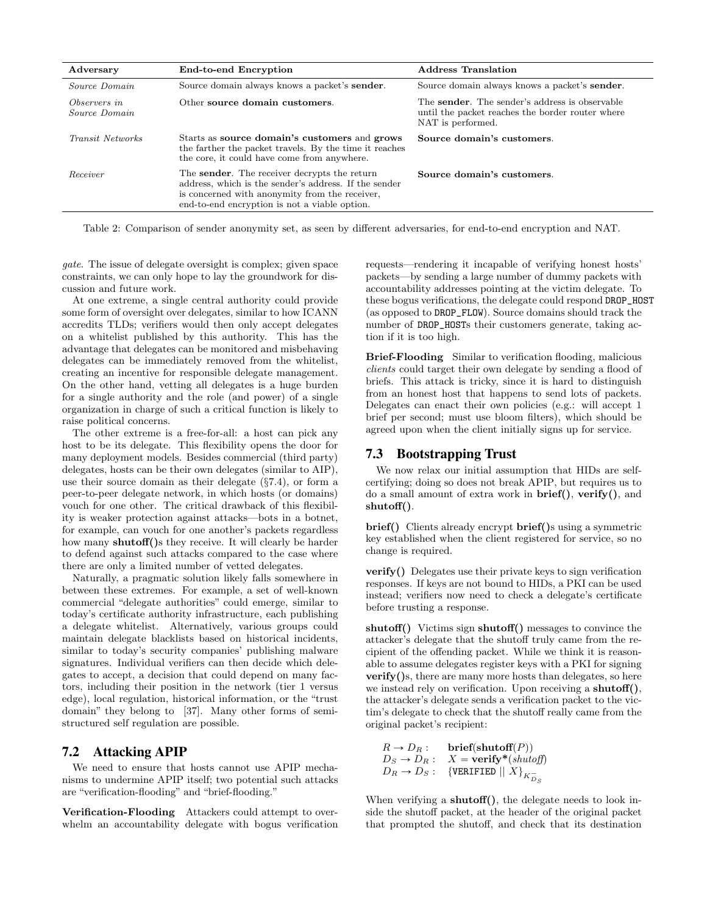| Adversary                     | End-to-end Encryption                                                                                                                                                                                            | <b>Address Translation</b>                                                                                                      |
|-------------------------------|------------------------------------------------------------------------------------------------------------------------------------------------------------------------------------------------------------------|---------------------------------------------------------------------------------------------------------------------------------|
| Source Domain                 | Source domain always knows a packet's <b>sender</b> .                                                                                                                                                            | Source domain always knows a packet's <b>sender</b> .                                                                           |
| Observers in<br>Source Domain | Other source domain customers.                                                                                                                                                                                   | The <b>sender</b> . The sender's address is observable<br>until the packet reaches the border router where<br>NAT is performed. |
| <i>Transit Networks</i>       | Starts as source domain's customers and grows<br>the farther the packet travels. By the time it reaches<br>the core, it could have come from anywhere.                                                           | Source domain's customers.                                                                                                      |
| Receiver                      | The <b>sender</b> . The receiver decrypts the return<br>address, which is the sender's address. If the sender<br>is concerned with anonymity from the receiver,<br>end-to-end encryption is not a viable option. | Source domain's customers.                                                                                                      |

Table 2: Comparison of sender anonymity set, as seen by different adversaries, for end-to-end encryption and NAT.

gate. The issue of delegate oversight is complex; given space constraints, we can only hope to lay the groundwork for discussion and future work.

At one extreme, a single central authority could provide some form of oversight over delegates, similar to how ICANN accredits TLDs; verifiers would then only accept delegates on a whitelist published by this authority. This has the advantage that delegates can be monitored and misbehaving delegates can be immediately removed from the whitelist, creating an incentive for responsible delegate management. On the other hand, vetting all delegates is a huge burden for a single authority and the role (and power) of a single organization in charge of such a critical function is likely to raise political concerns.

The other extreme is a free-for-all: a host can pick any host to be its delegate. This flexibility opens the door for many deployment models. Besides commercial (third party) delegates, hosts can be their own delegates (similar to AIP), use their source domain as their delegate (§7.4), or form a peer-to-peer delegate network, in which hosts (or domains) vouch for one other. The critical drawback of this flexibility is weaker protection against attacks—bots in a botnet, for example, can vouch for one another's packets regardless how many **shutoff**()s they receive. It will clearly be harder to defend against such attacks compared to the case where there are only a limited number of vetted delegates.

Naturally, a pragmatic solution likely falls somewhere in between these extremes. For example, a set of well-known commercial "delegate authorities" could emerge, similar to today's certificate authority infrastructure, each publishing a delegate whitelist. Alternatively, various groups could maintain delegate blacklists based on historical incidents, similar to today's security companies' publishing malware signatures. Individual verifiers can then decide which delegates to accept, a decision that could depend on many factors, including their position in the network (tier 1 versus edge), local regulation, historical information, or the "trust domain" they belong to [37]. Many other forms of semistructured self regulation are possible.

## 7.2 Attacking APIP

We need to ensure that hosts cannot use APIP mechanisms to undermine APIP itself; two potential such attacks are "verification-flooding" and "brief-flooding."

Verification-Flooding Attackers could attempt to overwhelm an accountability delegate with bogus verification requests—rendering it incapable of verifying honest hosts' packets—by sending a large number of dummy packets with accountability addresses pointing at the victim delegate. To these bogus verifications, the delegate could respond DROP\_HOST (as opposed to DROP\_FLOW). Source domains should track the number of DROP\_HOSTs their customers generate, taking action if it is too high.

Brief-Flooding Similar to verification flooding, malicious clients could target their own delegate by sending a flood of briefs. This attack is tricky, since it is hard to distinguish from an honest host that happens to send lots of packets. Delegates can enact their own policies (e.g.: will accept 1 brief per second; must use bloom filters), which should be agreed upon when the client initially signs up for service.

# 7.3 Bootstrapping Trust

We now relax our initial assumption that HIDs are selfcertifying; doing so does not break APIP, but requires us to do a small amount of extra work in brief(), verify(), and shutoff().

brief() Clients already encrypt brief()s using a symmetric key established when the client registered for service, so no change is required.

verify() Delegates use their private keys to sign verification responses. If keys are not bound to HIDs, a PKI can be used instead; verifiers now need to check a delegate's certificate before trusting a response.

shutoff() Victims sign shutoff() messages to convince the attacker's delegate that the shutoff truly came from the recipient of the offending packet. While we think it is reasonable to assume delegates register keys with a PKI for signing verify()s, there are many more hosts than delegates, so here we instead rely on verification. Upon receiving a **shutoff**(), the attacker's delegate sends a verification packet to the victim's delegate to check that the shutoff really came from the original packet's recipient:

$$
R \to D_R: \text{brief(shutoff}(P))
$$
  
\n
$$
D_S \to D_R: X = \text{verify}^*(\text{shutoff})
$$
  
\n
$$
D_R \to D_S: \{\text{VERTFIED} \mid X\}_{K_{D_S}^-}
$$

When verifying a shutoff $()$ , the delegate needs to look inside the shutoff packet, at the header of the original packet that prompted the shutoff, and check that its destination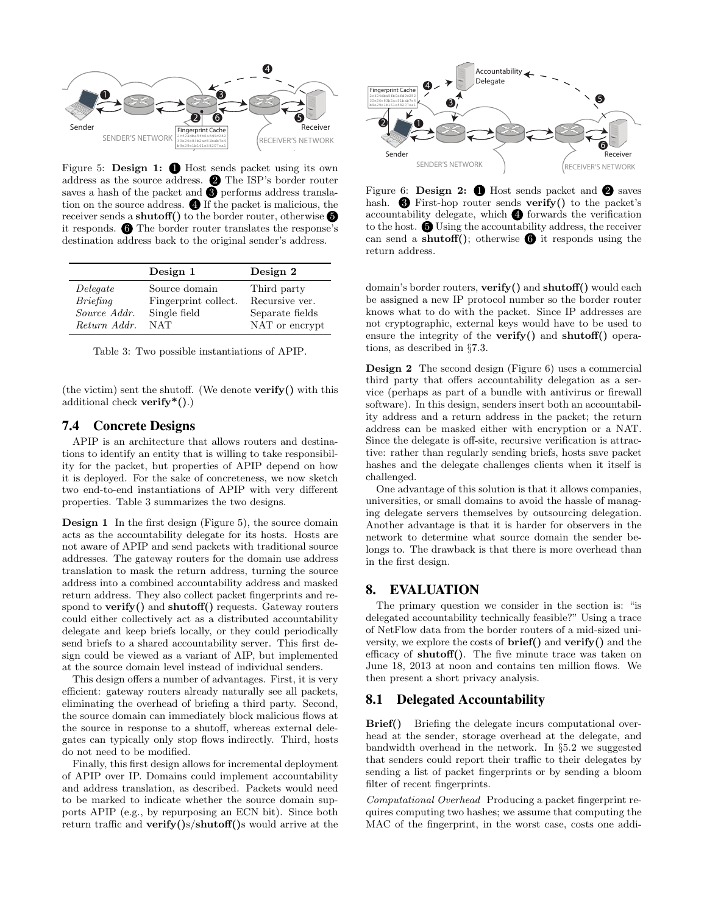

Figure 5: Design 1:  $\bigoplus$  Host sends packet using its own address as the source address. **2** The ISP's border router saves a hash of the packet and  $\bullet$  performs address translation on the source address. 4 If the packet is malicious, the receiver sends a **shutoff**() to the border router, otherwise  $\bullet$ it responds. 6 The border router translates the response's destination address back to the original sender's address.

|              | Design 1             | Design 2        |
|--------------|----------------------|-----------------|
| Delegate     | Source domain        | Third party     |
| Briefing     | Fingerprint collect. | Recursive ver.  |
| Source Addr. | Single field         | Separate fields |
| Return Addr. | <b>NAT</b>           | NAT or encrypt  |

Table 3: Two possible instantiations of APIP.

(the victim) sent the shutoff. (We denote  $\text{verify}()$  with this additional check **verify**<sup>\*</sup> $()$ .)

# 7.4 Concrete Designs

APIP is an architecture that allows routers and destinations to identify an entity that is willing to take responsibility for the packet, but properties of APIP depend on how it is deployed. For the sake of concreteness, we now sketch two end-to-end instantiations of APIP with very different properties. Table 3 summarizes the two designs.

Design 1 In the first design (Figure 5), the source domain acts as the accountability delegate for its hosts. Hosts are not aware of APIP and send packets with traditional source addresses. The gateway routers for the domain use address translation to mask the return address, turning the source address into a combined accountability address and masked return address. They also collect packet fingerprints and respond to  $\text{verify}()$  and  $\text{shutoff}()$  requests. Gateway routers could either collectively act as a distributed accountability delegate and keep briefs locally, or they could periodically send briefs to a shared accountability server. This first design could be viewed as a variant of AIP, but implemented at the source domain level instead of individual senders.

This design offers a number of advantages. First, it is very efficient: gateway routers already naturally see all packets, eliminating the overhead of briefing a third party. Second, the source domain can immediately block malicious flows at the source in response to a shutoff, whereas external delegates can typically only stop flows indirectly. Third, hosts do not need to be modified.

Finally, this first design allows for incremental deployment of APIP over IP. Domains could implement accountability and address translation, as described. Packets would need to be marked to indicate whether the source domain supports APIP (e.g., by repurposing an ECN bit). Since both return traffic and verify()s/shutoff()s would arrive at the



Figure 6: Design 2:  $\bullet$  Host sends packet and  $\bullet$  saves hash.  $\bullet$  First-hop router sends verify() to the packet's accountability delegate, which 4 forwards the verification to the host.  $\bigodot$  Using the accountability address, the receiver can send a shutoff(); otherwise  $\bigcirc$  it responds using the return address.

domain's border routers, verify() and shutoff() would each be assigned a new IP protocol number so the border router knows what to do with the packet. Since IP addresses are not cryptographic, external keys would have to be used to ensure the integrity of the **verify()** and **shutoff()** operations, as described in §7.3.

Design 2 The second design (Figure 6) uses a commercial third party that offers accountability delegation as a service (perhaps as part of a bundle with antivirus or firewall software). In this design, senders insert both an accountability address and a return address in the packet; the return address can be masked either with encryption or a NAT. Since the delegate is off-site, recursive verification is attractive: rather than regularly sending briefs, hosts save packet hashes and the delegate challenges clients when it itself is challenged.

One advantage of this solution is that it allows companies, universities, or small domains to avoid the hassle of managing delegate servers themselves by outsourcing delegation. Another advantage is that it is harder for observers in the network to determine what source domain the sender belongs to. The drawback is that there is more overhead than in the first design.

# 8. EVALUATION

The primary question we consider in the section is: "is delegated accountability technically feasible?" Using a trace of NetFlow data from the border routers of a mid-sized university, we explore the costs of  $\text{brief}()$  and  $\text{verify}(()$  and the efficacy of shutoff(). The five minute trace was taken on June 18, 2013 at noon and contains ten million flows. We then present a short privacy analysis.

## 8.1 Delegated Accountability

Brief() Briefing the delegate incurs computational overhead at the sender, storage overhead at the delegate, and bandwidth overhead in the network. In §5.2 we suggested that senders could report their traffic to their delegates by sending a list of packet fingerprints or by sending a bloom filter of recent fingerprints.

Computational Overhead Producing a packet fingerprint requires computing two hashes; we assume that computing the MAC of the fingerprint, in the worst case, costs one addi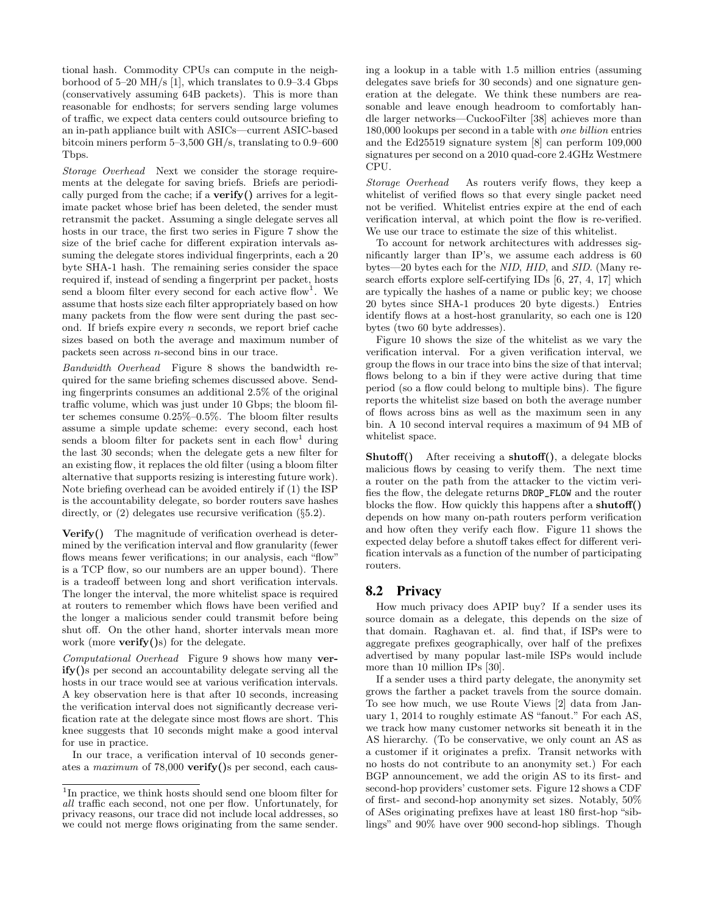tional hash. Commodity CPUs can compute in the neighborhood of 5–20 MH/s [1], which translates to 0.9–3.4 Gbps (conservatively assuming 64B packets). This is more than reasonable for endhosts; for servers sending large volumes of traffic, we expect data centers could outsource briefing to an in-path appliance built with ASICs—current ASIC-based bitcoin miners perform 5–3,500 GH/s, translating to 0.9–600 Tbps.

Storage Overhead Next we consider the storage requirements at the delegate for saving briefs. Briefs are periodically purged from the cache; if a **verify()** arrives for a legitimate packet whose brief has been deleted, the sender must retransmit the packet. Assuming a single delegate serves all hosts in our trace, the first two series in Figure 7 show the size of the brief cache for different expiration intervals assuming the delegate stores individual fingerprints, each a 20 byte SHA-1 hash. The remaining series consider the space required if, instead of sending a fingerprint per packet, hosts send a bloom filter every second for each active flow<sup>1</sup>. We assume that hosts size each filter appropriately based on how many packets from the flow were sent during the past second. If briefs expire every  $n$  seconds, we report brief cache sizes based on both the average and maximum number of packets seen across n-second bins in our trace.

Bandwidth Overhead Figure 8 shows the bandwidth required for the same briefing schemes discussed above. Sending fingerprints consumes an additional 2.5% of the original traffic volume, which was just under 10 Gbps; the bloom filter schemes consume 0.25%–0.5%. The bloom filter results assume a simple update scheme: every second, each host sends a bloom filter for packets sent in each flow<sup>1</sup> during the last 30 seconds; when the delegate gets a new filter for an existing flow, it replaces the old filter (using a bloom filter alternative that supports resizing is interesting future work). Note briefing overhead can be avoided entirely if (1) the ISP is the accountability delegate, so border routers save hashes directly, or  $(2)$  delegates use recursive verification  $(\S 5.2)$ .

Verify() The magnitude of verification overhead is determined by the verification interval and flow granularity (fewer flows means fewer verifications; in our analysis, each "flow" is a TCP flow, so our numbers are an upper bound). There is a tradeoff between long and short verification intervals. The longer the interval, the more whitelist space is required at routers to remember which flows have been verified and the longer a malicious sender could transmit before being shut off. On the other hand, shorter intervals mean more work (more **verify**()s) for the delegate.

Computational Overhead Figure 9 shows how many verify()s per second an accountability delegate serving all the hosts in our trace would see at various verification intervals. A key observation here is that after 10 seconds, increasing the verification interval does not significantly decrease verification rate at the delegate since most flows are short. This knee suggests that 10 seconds might make a good interval for use in practice.

In our trace, a verification interval of 10 seconds generates a maximum of 78,000 verify()s per second, each causing a lookup in a table with 1.5 million entries (assuming delegates save briefs for 30 seconds) and one signature generation at the delegate. We think these numbers are reasonable and leave enough headroom to comfortably handle larger networks—CuckooFilter [38] achieves more than 180,000 lookups per second in a table with one billion entries and the Ed25519 signature system [8] can perform 109,000 signatures per second on a 2010 quad-core 2.4GHz Westmere CPU.

Storage Overhead As routers verify flows, they keep a whitelist of verified flows so that every single packet need not be verified. Whitelist entries expire at the end of each verification interval, at which point the flow is re-verified. We use our trace to estimate the size of this whitelist.

To account for network architectures with addresses significantly larger than IP's, we assume each address is 60 bytes—20 bytes each for the NID, HID, and SID. (Many research efforts explore self-certifying IDs [6, 27, 4, 17] which are typically the hashes of a name or public key; we choose 20 bytes since SHA-1 produces 20 byte digests.) Entries identify flows at a host-host granularity, so each one is 120 bytes (two 60 byte addresses).

Figure 10 shows the size of the whitelist as we vary the verification interval. For a given verification interval, we group the flows in our trace into bins the size of that interval; flows belong to a bin if they were active during that time period (so a flow could belong to multiple bins). The figure reports the whitelist size based on both the average number of flows across bins as well as the maximum seen in any bin. A 10 second interval requires a maximum of 94 MB of whitelist space.

Shutoff() After receiving a shutoff(), a delegate blocks malicious flows by ceasing to verify them. The next time a router on the path from the attacker to the victim verifies the flow, the delegate returns DROP\_FLOW and the router blocks the flow. How quickly this happens after a shutoff() depends on how many on-path routers perform verification and how often they verify each flow. Figure 11 shows the expected delay before a shutoff takes effect for different verification intervals as a function of the number of participating routers.

# 8.2 Privacy

How much privacy does APIP buy? If a sender uses its source domain as a delegate, this depends on the size of that domain. Raghavan et. al. find that, if ISPs were to aggregate prefixes geographically, over half of the prefixes advertised by many popular last-mile ISPs would include more than 10 million IPs [30].

If a sender uses a third party delegate, the anonymity set grows the farther a packet travels from the source domain. To see how much, we use Route Views [2] data from January 1, 2014 to roughly estimate AS "fanout." For each AS, we track how many customer networks sit beneath it in the AS hierarchy. (To be conservative, we only count an AS as a customer if it originates a prefix. Transit networks with no hosts do not contribute to an anonymity set.) For each BGP announcement, we add the origin AS to its first- and second-hop providers' customer sets. Figure 12 shows a CDF of first- and second-hop anonymity set sizes. Notably, 50% of ASes originating prefixes have at least 180 first-hop "siblings" and 90% have over 900 second-hop siblings. Though

<sup>&</sup>lt;sup>1</sup>In practice, we think hosts should send one bloom filter for all traffic each second, not one per flow. Unfortunately, for privacy reasons, our trace did not include local addresses, so we could not merge flows originating from the same sender.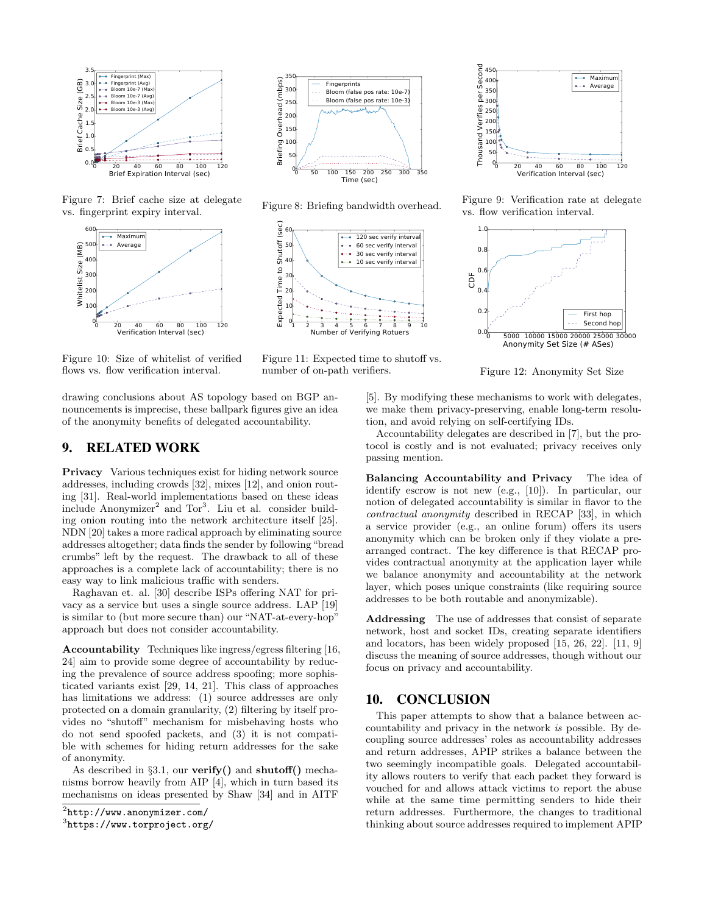

Figure 7: Brief cache size at delegate vs. fingerprint expiry interval.



Figure 10: Size of whitelist of verified flows vs. flow verification interval.



1 2 3 4 5 6 7 8 9 10 Number of Verifying Rotuers

0 50 100 150 200 250 300 350 Time (sec)

> 120 sec verify interva 60 sec verify interval ...• 30 sec verify interval 10 sec verify interval

Figure 8: Briefing bandwidth overhead.

 $\ddot{\bullet}$  -  $\ddot{\bullet}$ 

Bloom (false pos rate: 10e-7 Bloom (false pos rate: 10e-3)

Fingerprints

Expected Time to Shutoff (sec)

Time to

Expected

Shutoff (sec

Sada Lind Calendread Charles Straight Straight Straight Straight Straight Straight Straight Straight Straight Straight Straight Straight Straight Straight Straight Straight Straight Straight Straight Straight Straight Stra

(mbps)



Figure 9: Verification rate at delegate vs. flow verification interval.



Figure 12: Anonymity Set Size

number of on-path verifiers.

drawing conclusions about AS topology based on BGP announcements is imprecise, these ballpark figures give an idea of the anonymity benefits of delegated accountability.

## 9. RELATED WORK

Privacy Various techniques exist for hiding network source addresses, including crowds [32], mixes [12], and onion routing [31]. Real-world implementations based on these ideas include Anonymizer<sup>2</sup> and Tor<sup>3</sup>. Liu et al. consider building onion routing into the network architecture itself [25]. NDN [20] takes a more radical approach by eliminating source addresses altogether; data finds the sender by following"bread crumbs" left by the request. The drawback to all of these approaches is a complete lack of accountability; there is no easy way to link malicious traffic with senders.

Raghavan et. al. [30] describe ISPs offering NAT for privacy as a service but uses a single source address. LAP [19] is similar to (but more secure than) our "NAT-at-every-hop" approach but does not consider accountability.

Accountability Techniques like ingress/egress filtering [16, 24] aim to provide some degree of accountability by reducing the prevalence of source address spoofing; more sophisticated variants exist [29, 14, 21]. This class of approaches has limitations we address: (1) source addresses are only protected on a domain granularity, (2) filtering by itself provides no "shutoff" mechanism for misbehaving hosts who do not send spoofed packets, and (3) it is not compatible with schemes for hiding return addresses for the sake of anonymity.

As described in  $\S 3.1$ , our **verify**() and **shutoff**() mechanisms borrow heavily from AIP [4], which in turn based its mechanisms on ideas presented by Shaw [34] and in AITF

[5]. By modifying these mechanisms to work with delegates, we make them privacy-preserving, enable long-term resolution, and avoid relying on self-certifying IDs.

Accountability delegates are described in [7], but the protocol is costly and is not evaluated; privacy receives only passing mention.

Balancing Accountability and Privacy The idea of identify escrow is not new (e.g., [10]). In particular, our notion of delegated accountability is similar in flavor to the contractual anonymity described in RECAP [33], in which a service provider (e.g., an online forum) offers its users anonymity which can be broken only if they violate a prearranged contract. The key difference is that RECAP provides contractual anonymity at the application layer while we balance anonymity and accountability at the network layer, which poses unique constraints (like requiring source addresses to be both routable and anonymizable).

Addressing The use of addresses that consist of separate network, host and socket IDs, creating separate identifiers and locators, has been widely proposed [15, 26, 22]. [11, 9] discuss the meaning of source addresses, though without our focus on privacy and accountability.

#### 10. CONCLUSION

This paper attempts to show that a balance between accountability and privacy in the network is possible. By decoupling source addresses' roles as accountability addresses and return addresses, APIP strikes a balance between the two seemingly incompatible goals. Delegated accountability allows routers to verify that each packet they forward is vouched for and allows attack victims to report the abuse while at the same time permitting senders to hide their return addresses. Furthermore, the changes to traditional thinking about source addresses required to implement APIP

 $^{2}$ http://www.anonymizer.com/

<sup>3</sup> https://www.torproject.org/